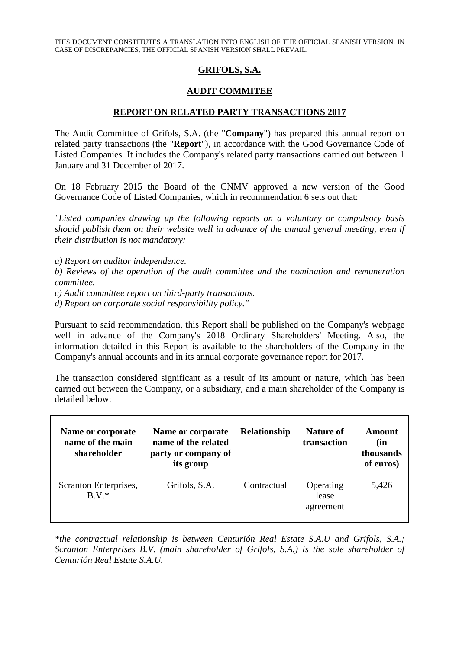THIS DOCUMENT CONSTITUTES A TRANSLATION INTO ENGLISH OF THE OFFICIAL SPANISH VERSION. IN CASE OF DISCREPANCIES, THE OFFICIAL SPANISH VERSION SHALL PREVAIL.

## **GRIFOLS, S.A.**

## **AUDIT COMMITEE**

## **REPORT ON RELATED PARTY TRANSACTIONS 2017**

The Audit Committee of Grifols, S.A. (the "**Company**") has prepared this annual report on related party transactions (the "**Report**"), in accordance with the Good Governance Code of Listed Companies. It includes the Company's related party transactions carried out between 1 January and 31 December of 2017.

On 18 February 2015 the Board of the CNMV approved a new version of the Good Governance Code of Listed Companies, which in recommendation 6 sets out that:

*"Listed companies drawing up the following reports on a voluntary or compulsory basis should publish them on their website well in advance of the annual general meeting, even if their distribution is not mandatory:*

*a) Report on auditor independence.*

*b) Reviews of the operation of the audit committee and the nomination and remuneration committee.*

*c) Audit committee report on third-party transactions.*

*d) Report on corporate social responsibility policy."*

Pursuant to said recommendation, this Report shall be published on the Company's webpage well in advance of the Company's 2018 Ordinary Shareholders' Meeting. Also, the information detailed in this Report is available to the shareholders of the Company in the Company's annual accounts and in its annual corporate governance report for 2017.

The transaction considered significant as a result of its amount or nature, which has been carried out between the Company, or a subsidiary, and a main shareholder of the Company is detailed below:

| Name or corporate<br>name of the main<br>shareholder | Name or corporate<br>name of the related<br>party or company of<br>its group | Relationship | <b>Nature of</b><br>transaction | Amount<br>(in<br>thousands<br>of euros) |
|------------------------------------------------------|------------------------------------------------------------------------------|--------------|---------------------------------|-----------------------------------------|
| Scranton Enterprises,<br>$B.V.*$                     | Grifols, S.A.                                                                | Contractual  | Operating<br>lease<br>agreement | 5,426                                   |

*\*the contractual relationship is between Centurión Real Estate S.A.U and Grifols, S.A.; Scranton Enterprises B.V. (main shareholder of Grifols, S.A.) is the sole shareholder of Centurión Real Estate S.A.U.*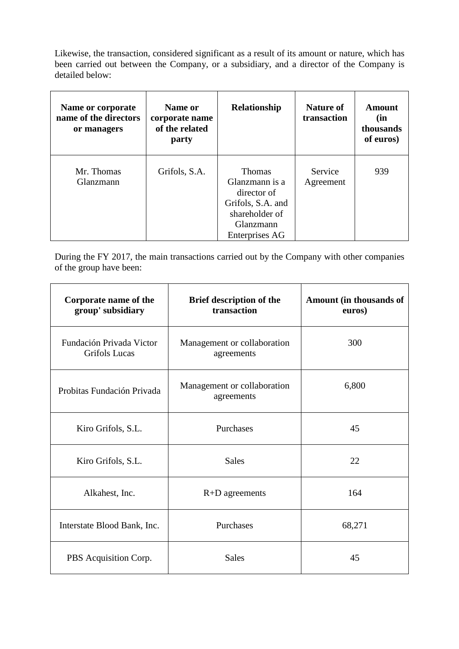Likewise, the transaction, considered significant as a result of its amount or nature, which has been carried out between the Company, or a subsidiary, and a director of the Company is detailed below:

| Name or corporate<br>name of the directors<br>or managers | Name or<br>corporate name<br>of the related<br>party | Relationship                                                                                                                | <b>Nature of</b><br>transaction | Amount<br>(in<br>thousands<br>of euros) |
|-----------------------------------------------------------|------------------------------------------------------|-----------------------------------------------------------------------------------------------------------------------------|---------------------------------|-----------------------------------------|
| Mr. Thomas<br>Glanzmann                                   | Grifols, S.A.                                        | <b>Thomas</b><br>Glanzmann is a<br>director of<br>Grifols, S.A. and<br>shareholder of<br>Glanzmann<br><b>Enterprises AG</b> | Service<br>Agreement            | 939                                     |

During the FY 2017, the main transactions carried out by the Company with other companies of the group have been:

| Corporate name of the<br>group' subsidiary                              | Brief description of the<br>transaction   | Amount (in thousands of<br>euros) |
|-------------------------------------------------------------------------|-------------------------------------------|-----------------------------------|
| Fundación Privada Victor<br><b>Grifols Lucas</b>                        | Management or collaboration<br>agreements | 300                               |
| Management or collaboration<br>Probitas Fundación Privada<br>agreements |                                           | 6,800                             |
| Kiro Grifols, S.L.                                                      | Purchases                                 | 45                                |
| Kiro Grifols, S.L.                                                      | <b>Sales</b>                              | 22                                |
| Alkahest, Inc.                                                          | $R+D$ agreements                          | 164                               |
| Interstate Blood Bank, Inc.                                             | Purchases                                 | 68,271                            |
| PBS Acquisition Corp.                                                   | <b>Sales</b>                              | 45                                |